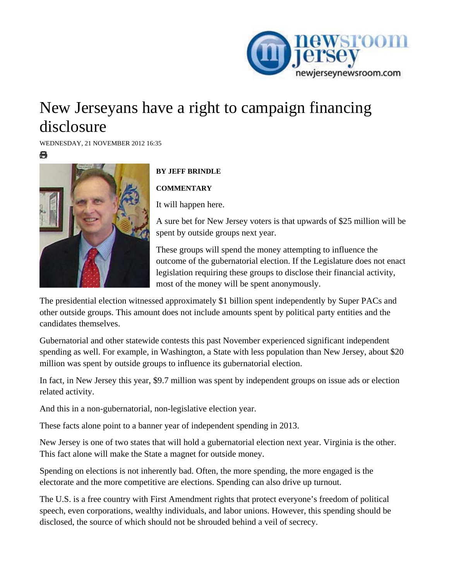

## New Jerseyans have a right to campaign financing disclosure

[WED](http://www.newjerseynewsroom.com/commentary/new-jerseyans-have-a-right-to-campaign-financing-disclosure/print)NESDAY, 21 NOVEMBER 2012 16:35

е



## **BY JEFF BRINDLE**

**COMMENTARY** 

It will happen here.

A sure bet for New Jersey voters is that upwards of \$25 million will be spent by outside groups next year.

These groups will spend the money attempting to influence the outcome of the gubernatorial election. If the Legislature does not enact legislation requiring these groups to disclose their financial activity, most of the money will be spent anonymously.

The presidential election witnessed approximately \$1 billion spent independently by Super PACs and other outside groups. This amount does not include amounts spent by political party entities and the candidates themselves.

Gubernatorial and other statewide contests this past November experienced significant independent spending as well. For example, in Washington, a State with less population than New Jersey, about \$20 million was spent by outside groups to influence its gubernatorial election.

In fact, in New Jersey this year, \$9.7 million was spent by independent groups on issue ads or election related activity.

And this in a non-gubernatorial, non-legislative election year.

These facts alone point to a banner year of independent spending in 2013.

New Jersey is one of two states that will hold a gubernatorial election next year. Virginia is the other. This fact alone will make the State a magnet for outside money.

Spending on elections is not inherently bad. Often, the more spending, the more engaged is the electorate and the more competitive are elections. Spending can also drive up turnout.

The U.S. is a free country with First Amendment rights that protect everyone's freedom of political speech, even corporations, wealthy individuals, and labor unions. However, this spending should be disclosed, the source of which should not be shrouded behind a veil of secrecy.